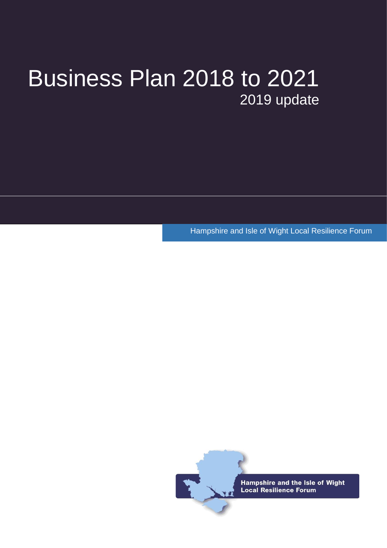# Business Plan 2018 to 2021 2019 update

Hampshire and Isle of Wight Local Resilience Forum

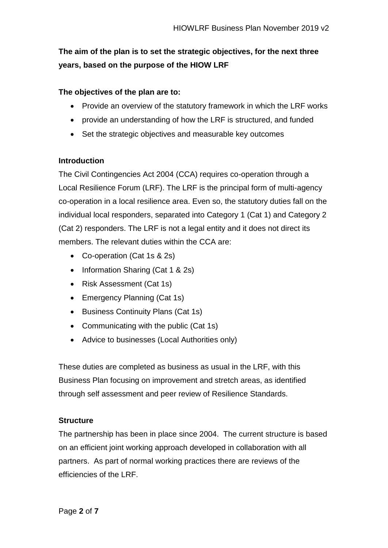# **The aim of the plan is to set the strategic objectives, for the next three years, based on the purpose of the HIOW LRF**

### **The objectives of the plan are to:**

- Provide an overview of the statutory framework in which the LRF works
- provide an understanding of how the LRF is structured, and funded
- Set the strategic objectives and measurable key outcomes

#### **Introduction**

The Civil Contingencies Act 2004 (CCA) requires co-operation through a Local Resilience Forum (LRF). The LRF is the principal form of multi-agency co-operation in a local resilience area. Even so, the statutory duties fall on the individual local responders, separated into Category 1 (Cat 1) and Category 2 (Cat 2) responders. The LRF is not a legal entity and it does not direct its members. The relevant duties within the CCA are:

- Co-operation (Cat 1s & 2s)
- Information Sharing (Cat 1 & 2s)
- Risk Assessment (Cat 1s)
- Emergency Planning (Cat 1s)
- Business Continuity Plans (Cat 1s)
- Communicating with the public (Cat 1s)
- Advice to businesses (Local Authorities only)

These duties are completed as business as usual in the LRF, with this Business Plan focusing on improvement and stretch areas, as identified through self assessment and peer review of Resilience Standards.

#### **Structure**

The partnership has been in place since 2004. The current structure is based on an efficient joint working approach developed in collaboration with all partners. As part of normal working practices there are reviews of the efficiencies of the LRF.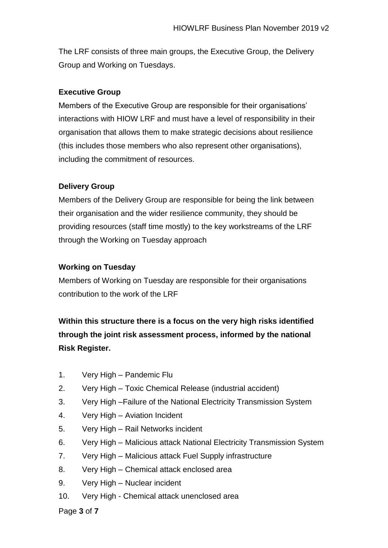The LRF consists of three main groups, the Executive Group, the Delivery Group and Working on Tuesdays.

# **Executive Group**

Members of the Executive Group are responsible for their organisations' interactions with HIOW LRF and must have a level of responsibility in their organisation that allows them to make strategic decisions about resilience (this includes those members who also represent other organisations), including the commitment of resources.

# **Delivery Group**

Members of the Delivery Group are responsible for being the link between their organisation and the wider resilience community, they should be providing resources (staff time mostly) to the key workstreams of the LRF through the Working on Tuesday approach

# **Working on Tuesday**

Members of Working on Tuesday are responsible for their organisations contribution to the work of the LRF

# **Within this structure there is a focus on the very high risks identified through the joint risk assessment process, informed by the national Risk Register.**

- 1. Very High Pandemic Flu
- 2. Very High Toxic Chemical Release (industrial accident)
- 3. Very High –Failure of the National Electricity Transmission System
- 4. Very High Aviation Incident
- 5. Very High Rail Networks incident
- 6. Very High Malicious attack National Electricity Transmission System
- 7. Very High Malicious attack Fuel Supply infrastructure
- 8. Very High Chemical attack enclosed area
- 9. Very High Nuclear incident
- 10. Very High Chemical attack unenclosed area

Page **3** of **7**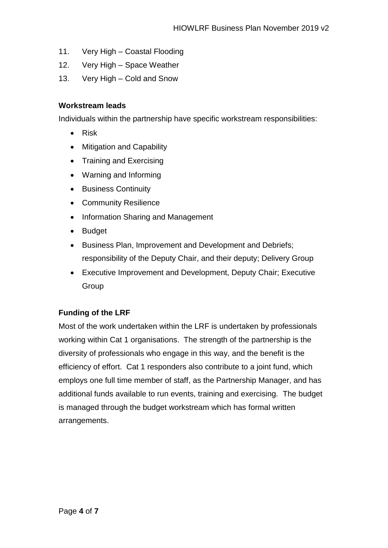- 11. Very High Coastal Flooding
- 12. Very High Space Weather
- 13. Very High Cold and Snow

#### **Workstream leads**

Individuals within the partnership have specific workstream responsibilities:

- Risk
- Mitigation and Capability
- Training and Exercising
- Warning and Informing
- Business Continuity
- Community Resilience
- Information Sharing and Management
- Budget
- Business Plan, Improvement and Development and Debriefs; responsibility of the Deputy Chair, and their deputy; Delivery Group
- Executive Improvement and Development, Deputy Chair; Executive Group

# **Funding of the LRF**

Most of the work undertaken within the LRF is undertaken by professionals working within Cat 1 organisations. The strength of the partnership is the diversity of professionals who engage in this way, and the benefit is the efficiency of effort. Cat 1 responders also contribute to a joint fund, which employs one full time member of staff, as the Partnership Manager, and has additional funds available to run events, training and exercising. The budget is managed through the budget workstream which has formal written arrangements.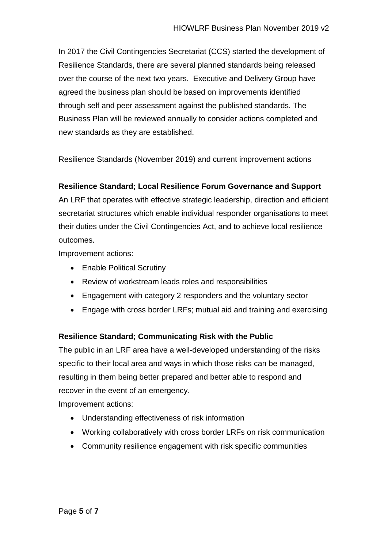In 2017 the Civil Contingencies Secretariat (CCS) started the development of Resilience Standards, there are several planned standards being released over the course of the next two years. Executive and Delivery Group have agreed the business plan should be based on improvements identified through self and peer assessment against the published standards. The Business Plan will be reviewed annually to consider actions completed and new standards as they are established.

Resilience Standards (November 2019) and current improvement actions

# **Resilience Standard; Local Resilience Forum Governance and Support**

An LRF that operates with effective strategic leadership, direction and efficient secretariat structures which enable individual responder organisations to meet their duties under the Civil Contingencies Act, and to achieve local resilience outcomes.

Improvement actions:

- Enable Political Scrutiny
- Review of workstream leads roles and responsibilities
- Engagement with category 2 responders and the voluntary sector
- Engage with cross border LRFs; mutual aid and training and exercising

# **Resilience Standard; Communicating Risk with the Public**

The public in an LRF area have a well-developed understanding of the risks specific to their local area and ways in which those risks can be managed, resulting in them being better prepared and better able to respond and recover in the event of an emergency.

Improvement actions:

- Understanding effectiveness of risk information
- Working collaboratively with cross border LRFs on risk communication
- Community resilience engagement with risk specific communities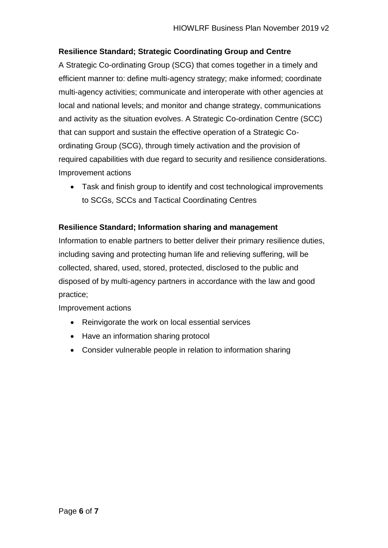# **Resilience Standard; Strategic Coordinating Group and Centre**

A Strategic Co-ordinating Group (SCG) that comes together in a timely and efficient manner to: define multi-agency strategy; make informed; coordinate multi-agency activities; communicate and interoperate with other agencies at local and national levels; and monitor and change strategy, communications and activity as the situation evolves. A Strategic Co-ordination Centre (SCC) that can support and sustain the effective operation of a Strategic Coordinating Group (SCG), through timely activation and the provision of required capabilities with due regard to security and resilience considerations. Improvement actions

• Task and finish group to identify and cost technological improvements to SCGs, SCCs and Tactical Coordinating Centres

#### **Resilience Standard; Information sharing and management**

Information to enable partners to better deliver their primary resilience duties, including saving and protecting human life and relieving suffering, will be collected, shared, used, stored, protected, disclosed to the public and disposed of by multi-agency partners in accordance with the law and good practice;

Improvement actions

- Reinvigorate the work on local essential services
- Have an information sharing protocol
- Consider vulnerable people in relation to information sharing